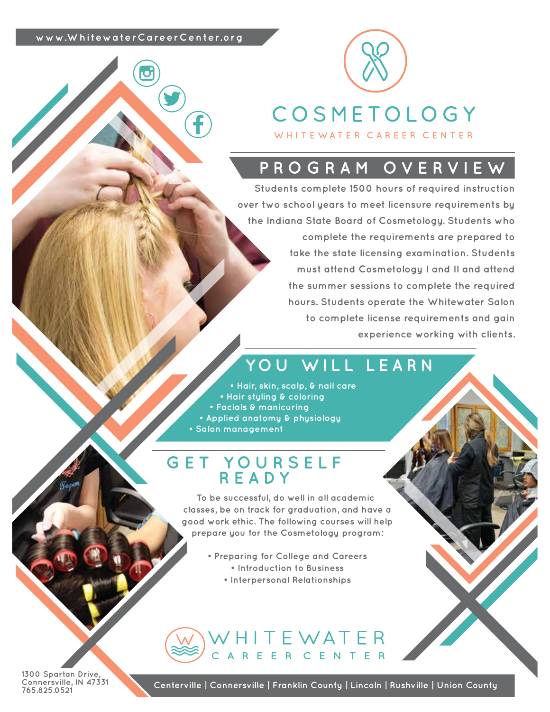#### **www.WhitewaterCareerCenter.org**



WHITEWATER CAREER CENTER

### **PROGRAM OVERVIEW**

**Students complete 1500 hours of required instruction over two school years to meet licensure requirements by the Indiana State Board of Cosmetology. Students who complete the requirements are prepared to take the state licensing examination. Students must attend Cosmetology I and II and attend the summer sessions to complete the required hours. Students operate the Whitewater Salon to complete license requirements and gain experience working with clients.** 

### **YOU WILL LEARN**

**• Hair, skin, scalp, & nail care • Hair styling & coloring • Facials & manicuring • Applied anatomy & physiology • Salon management**

### **GET YOURSELF READY**

**To be successful, do well in all academic classes, be on track for graduation, and have a good work ethic. The following courses will help prepare you for the Cosmetology program:**

- **Preparing for College and Careers • Introduction to Business**
	-
	- **Interpersonal Relationships**

WHITEWATER<br>CAREER CENTER

**1300 Spartan Drive, Connersville, IN 47331 765.825.0521**

**Centerville | Connersville | Franklin County | Lincoln | Rushville | Union County**